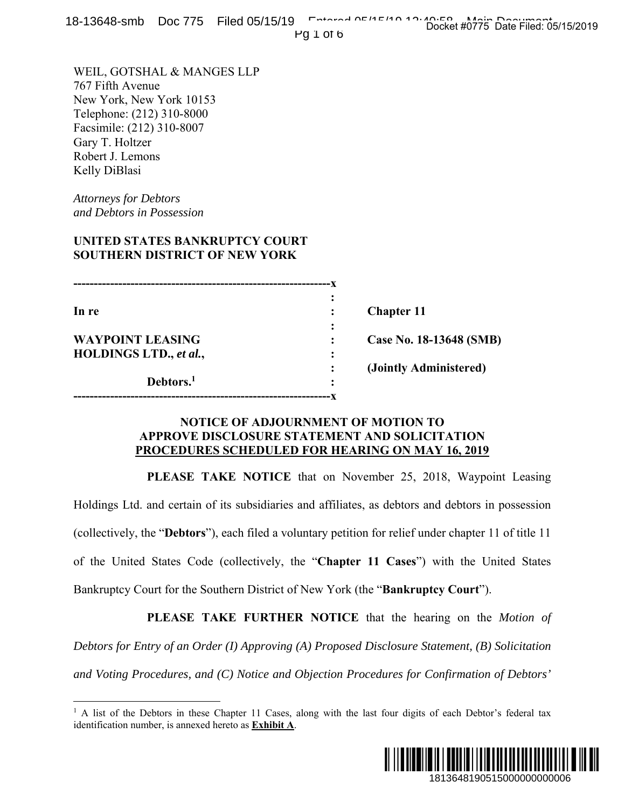Pg 1 of 6

WEIL, GOTSHAL & MANGES LLP 767 Fifth Avenue New York, New York 10153 Telephone: (212) 310-8000 Facsimile: (212) 310-8007 Gary T. Holtzer Robert J. Lemons Kelly DiBlasi

*Attorneys for Debtors and Debtors in Possession* 

 $\overline{a}$ 

# **UNITED STATES BANKRUPTCY COURT SOUTHERN DISTRICT OF NEW YORK**

|                         | ٠      |                         |
|-------------------------|--------|-------------------------|
| In re                   |        | <b>Chapter 11</b>       |
|                         | ٠<br>٠ |                         |
| <b>WAYPOINT LEASING</b> |        | Case No. 18-13648 (SMB) |
| HOLDINGS LTD., et al.,  | ٠<br>٠ |                         |
|                         |        | (Jointly Administered)  |
| Debtors. <sup>1</sup>   | ٠      |                         |
|                         |        |                         |

### **NOTICE OF ADJOURNMENT OF MOTION TO APPROVE DISCLOSURE STATEMENT AND SOLICITATION PROCEDURES SCHEDULED FOR HEARING ON MAY 16, 2019**

 **PLEASE TAKE NOTICE** that on November 25, 2018, Waypoint Leasing Holdings Ltd. and certain of its subsidiaries and affiliates, as debtors and debtors in possession (collectively, the "**Debtors**"), each filed a voluntary petition for relief under chapter 11 of title 11 of the United States Code (collectively, the "**Chapter 11 Cases**") with the United States Bankruptcy Court for the Southern District of New York (the "**Bankruptcy Court**"). 13648 (SMB)<br>
13648 (SMB)<br>
ministered)<br>
10<br>
10<br>
2018, Waypoint Leasing<br>
2018, Waypoint Leasing<br>
2018, Waypoint Leasing<br>
2018, Waypoint Leasing<br>
2018, Waypoint Leasing<br>
2018 Marked States<br>
2018 Marked States<br>
2018 Marked Sta

 **PLEASE TAKE FURTHER NOTICE** that the hearing on the *Motion of Debtors for Entry of an Order (I) Approving (A) Proposed Disclosure Statement, (B) Solicitation and Voting Procedures, and (C) Notice and Objection Procedures for Confirmation of Debtors'* 

<sup>&</sup>lt;sup>1</sup> A list of the Debtors in these Chapter 11 Cases, along with the last four digits of each Debtor's federal tax identification number, is annexed hereto as **Exhibit A**.

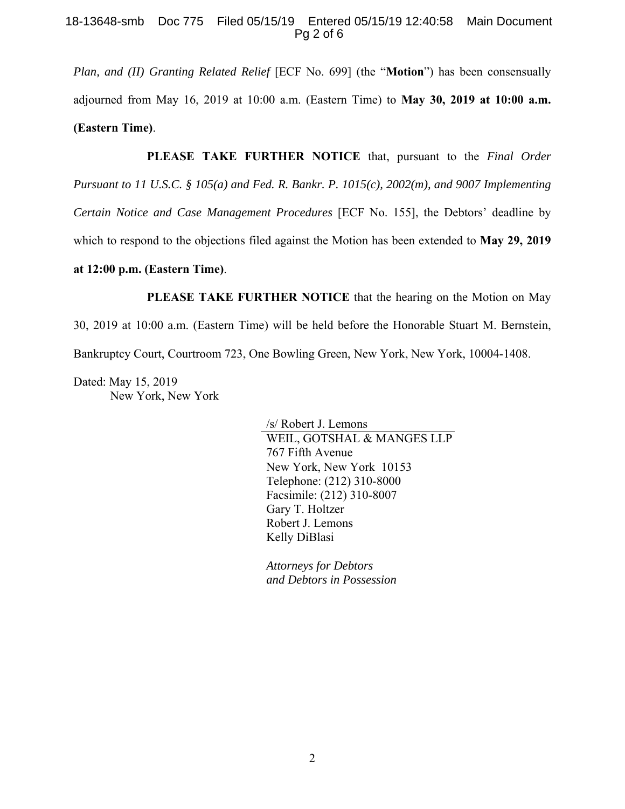### 18-13648-smb Doc 775 Filed 05/15/19 Entered 05/15/19 12:40:58 Main Document Pg 2 of 6

*Plan, and (II) Granting Related Relief* [ECF No. 699] (the "**Motion**") has been consensually adjourned from May 16, 2019 at 10:00 a.m. (Eastern Time) to **May 30, 2019 at 10:00 a.m. (Eastern Time)**.

**PLEASE TAKE FURTHER NOTICE** that, pursuant to the *Final Order* 

*Pursuant to 11 U.S.C. § 105(a) and Fed. R. Bankr. P. 1015(c), 2002(m), and 9007 Implementing*

*Certain Notice and Case Management Procedures* [ECF No. 155], the Debtors' deadline by

which to respond to the objections filed against the Motion has been extended to **May 29, 2019** 

### **at 12:00 p.m. (Eastern Time)**.

**PLEASE TAKE FURTHER NOTICE** that the hearing on the Motion on May

30, 2019 at 10:00 a.m. (Eastern Time) will be held before the Honorable Stuart M. Bernstein,

Bankruptcy Court, Courtroom 723, One Bowling Green, New York, New York, 10004-1408.

Dated: May 15, 2019 New York, New York

> /s/ Robert J. Lemons WEIL, GOTSHAL & MANGES LLP 767 Fifth Avenue New York, New York 10153 Telephone: (212) 310-8000 Facsimile: (212) 310-8007 Gary T. Holtzer Robert J. Lemons Kelly DiBlasi

*Attorneys for Debtors and Debtors in Possession*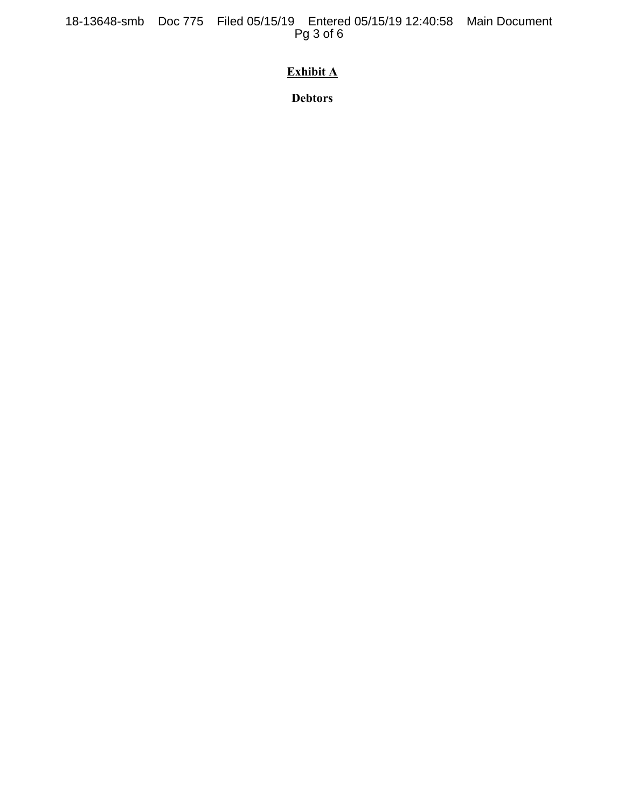18-13648-smb Doc 775 Filed 05/15/19 Entered 05/15/19 12:40:58 Main Document Pg 3 of 6

# **Exhibit A**

**Debtors**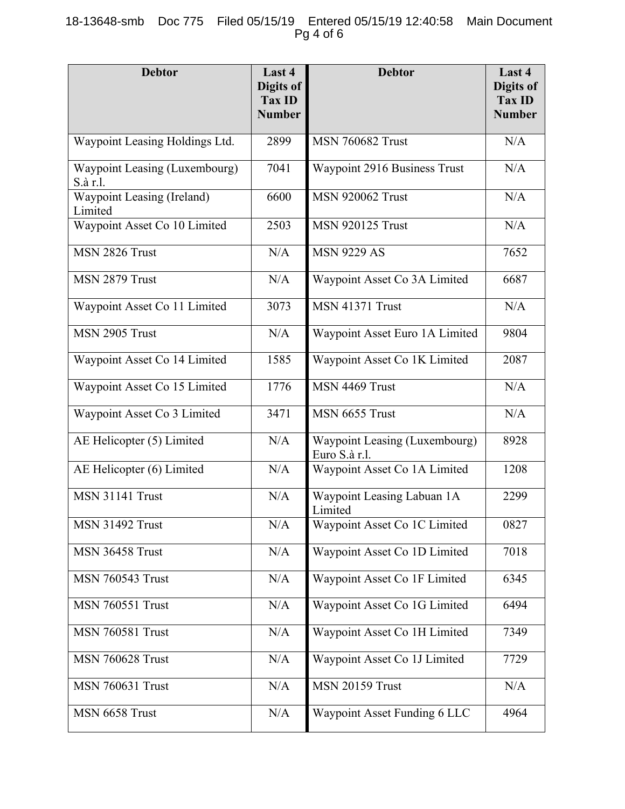# 18-13648-smb Doc 775 Filed 05/15/19 Entered 05/15/19 12:40:58 Main Document Pg 4 of 6

| <b>Debtor</b>                             | Last 4<br>Digits of<br><b>Tax ID</b><br><b>Number</b> | <b>Debtor</b>                                         | Last 4<br>Digits of<br><b>Tax ID</b><br><b>Number</b> |
|-------------------------------------------|-------------------------------------------------------|-------------------------------------------------------|-------------------------------------------------------|
| Waypoint Leasing Holdings Ltd.            | 2899                                                  | <b>MSN 760682 Trust</b>                               | N/A                                                   |
| Waypoint Leasing (Luxembourg)<br>S.à r.l. | 7041                                                  | Waypoint 2916 Business Trust                          | N/A                                                   |
| Waypoint Leasing (Ireland)<br>Limited     | 6600                                                  | <b>MSN 920062 Trust</b>                               | N/A                                                   |
| Waypoint Asset Co 10 Limited              | 2503                                                  | <b>MSN 920125 Trust</b>                               | N/A                                                   |
| MSN 2826 Trust                            | N/A                                                   | <b>MSN 9229 AS</b>                                    | 7652                                                  |
| MSN 2879 Trust                            | N/A                                                   | Waypoint Asset Co 3A Limited                          | 6687                                                  |
| Waypoint Asset Co 11 Limited              | 3073                                                  | <b>MSN 41371 Trust</b>                                | N/A                                                   |
| MSN 2905 Trust                            | N/A                                                   | Waypoint Asset Euro 1A Limited                        | 9804                                                  |
| Waypoint Asset Co 14 Limited              | 1585                                                  | Waypoint Asset Co 1K Limited                          | 2087                                                  |
| Waypoint Asset Co 15 Limited              | 1776                                                  | MSN 4469 Trust                                        | N/A                                                   |
| Waypoint Asset Co 3 Limited               | 3471                                                  | MSN 6655 Trust                                        | N/A                                                   |
| AE Helicopter (5) Limited                 | N/A                                                   | <b>Waypoint Leasing (Luxembourg)</b><br>Euro S.à r.l. | 8928                                                  |
| AE Helicopter (6) Limited                 | N/A                                                   | Waypoint Asset Co 1A Limited                          | 1208                                                  |
| <b>MSN 31141 Trust</b>                    | N/A                                                   | Waypoint Leasing Labuan 1A<br>Limited                 | 2299                                                  |
| <b>MSN 31492 Trust</b>                    | N/A                                                   | Waypoint Asset Co 1C Limited                          | 0827                                                  |
| <b>MSN 36458 Trust</b>                    | N/A                                                   | Waypoint Asset Co 1D Limited                          | 7018                                                  |
| <b>MSN 760543 Trust</b>                   | N/A                                                   | Waypoint Asset Co 1F Limited                          | 6345                                                  |
| <b>MSN 760551 Trust</b>                   | N/A                                                   | Waypoint Asset Co 1G Limited                          | 6494                                                  |
| <b>MSN 760581 Trust</b>                   | N/A                                                   | Waypoint Asset Co 1H Limited                          | 7349                                                  |
| <b>MSN 760628 Trust</b>                   | N/A                                                   | Waypoint Asset Co 1J Limited                          | 7729                                                  |
| <b>MSN 760631 Trust</b>                   | N/A                                                   | <b>MSN 20159 Trust</b>                                | N/A                                                   |
| MSN 6658 Trust                            | N/A                                                   | Waypoint Asset Funding 6 LLC                          | 4964                                                  |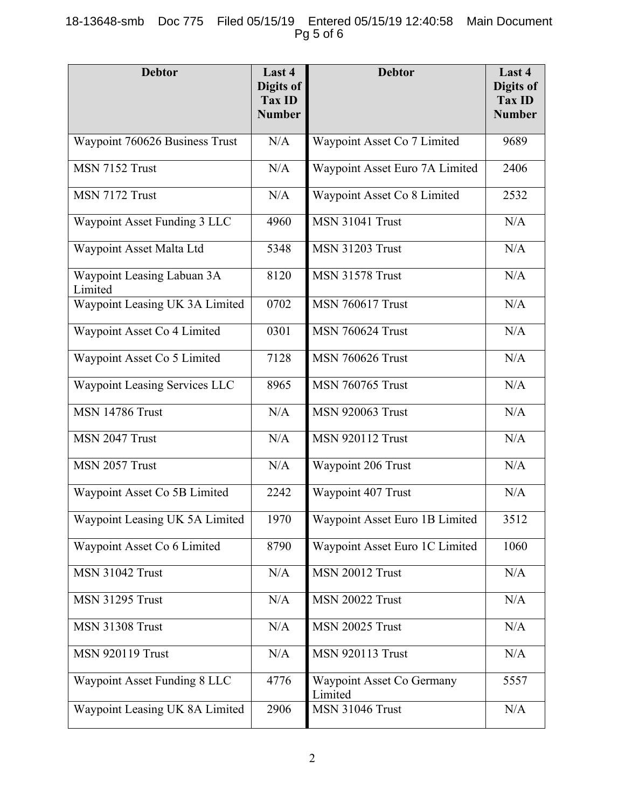# 18-13648-smb Doc 775 Filed 05/15/19 Entered 05/15/19 12:40:58 Main Document Pg 5 of 6

| <b>Debtor</b>                         | Last 4<br><b>Digits of</b><br>Tax ID<br><b>Number</b> | <b>Debtor</b>                        | Last 4<br>Digits of<br><b>Tax ID</b><br><b>Number</b> |
|---------------------------------------|-------------------------------------------------------|--------------------------------------|-------------------------------------------------------|
| Waypoint 760626 Business Trust        | N/A                                                   | Waypoint Asset Co 7 Limited          | 9689                                                  |
| MSN 7152 Trust                        | N/A                                                   | Waypoint Asset Euro 7A Limited       | 2406                                                  |
| MSN 7172 Trust                        | N/A                                                   | Waypoint Asset Co 8 Limited          | 2532                                                  |
| Waypoint Asset Funding 3 LLC          | 4960                                                  | <b>MSN 31041 Trust</b>               | N/A                                                   |
| Waypoint Asset Malta Ltd              | 5348                                                  | <b>MSN 31203 Trust</b>               | N/A                                                   |
| Waypoint Leasing Labuan 3A<br>Limited | 8120                                                  | <b>MSN 31578 Trust</b>               | N/A                                                   |
| Waypoint Leasing UK 3A Limited        | 0702                                                  | <b>MSN 760617 Trust</b>              | N/A                                                   |
| Waypoint Asset Co 4 Limited           | 0301                                                  | <b>MSN 760624 Trust</b>              | N/A                                                   |
| Waypoint Asset Co 5 Limited           | 7128                                                  | <b>MSN 760626 Trust</b>              | N/A                                                   |
| Waypoint Leasing Services LLC         | 8965                                                  | <b>MSN 760765 Trust</b>              | N/A                                                   |
| <b>MSN 14786 Trust</b>                | N/A                                                   | <b>MSN 920063 Trust</b>              | N/A                                                   |
| MSN 2047 Trust                        | N/A                                                   | <b>MSN 920112 Trust</b>              | N/A                                                   |
| MSN 2057 Trust                        | N/A                                                   | Waypoint 206 Trust                   | N/A                                                   |
| Waypoint Asset Co 5B Limited          | 2242                                                  | Waypoint 407 Trust                   | N/A                                                   |
| Waypoint Leasing UK 5A Limited        | 1970                                                  | Waypoint Asset Euro 1B Limited       | 3512                                                  |
| Waypoint Asset Co 6 Limited           | 8790                                                  | Waypoint Asset Euro 1C Limited       | 1060                                                  |
| <b>MSN 31042 Trust</b>                | N/A                                                   | <b>MSN 20012 Trust</b>               | N/A                                                   |
| <b>MSN 31295 Trust</b>                | N/A                                                   | <b>MSN 20022 Trust</b>               | N/A                                                   |
| <b>MSN 31308 Trust</b>                | N/A                                                   | <b>MSN 20025 Trust</b>               | N/A                                                   |
| <b>MSN 920119 Trust</b>               | N/A                                                   | <b>MSN 920113 Trust</b>              | N/A                                                   |
| <b>Waypoint Asset Funding 8 LLC</b>   | 4776                                                  | Waypoint Asset Co Germany<br>Limited | 5557                                                  |
| Waypoint Leasing UK 8A Limited        | 2906                                                  | <b>MSN 31046 Trust</b>               | N/A                                                   |